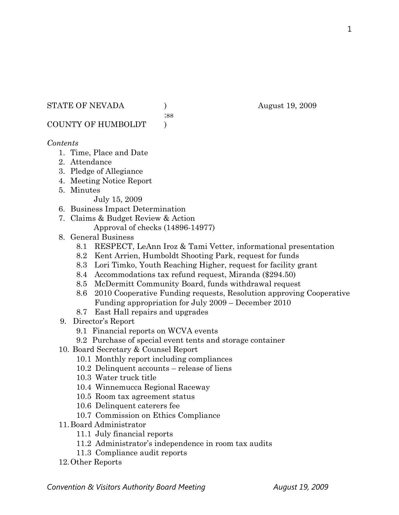STATE OF NEVADA (a) and a set of  $\alpha$  and  $\alpha$  and  $\alpha$  and  $\alpha$  and  $\alpha$  and  $\alpha$  and  $\alpha$  and  $\alpha$  and  $\alpha$  and  $\alpha$  and  $\alpha$  and  $\alpha$  and  $\alpha$  and  $\alpha$  and  $\alpha$  and  $\alpha$  and  $\alpha$  and  $\alpha$  and  $\alpha$  and  $\alpha$  and  $\alpha$  and

:ss

COUNTY OF HUMBOLDT )

## *Contents*

- 1. Time, Place and Date
- 2. Attendance
- 3. Pledge of Allegiance
- 4. Meeting Notice Report
- 5. Minutes

July 15, 2009

- 6. Business Impact Determination
- 7. Claims & Budget Review & Action
	- Approval of checks (14896-14977)
- 8. General Business
	- 8.1 RESPECT, LeAnn Iroz & Tami Vetter, informational presentation
	- 8.2 Kent Arrien, Humboldt Shooting Park, request for funds
	- 8.3 Lori Timko, Youth Reaching Higher, request for facility grant
	- 8.4 Accommodations tax refund request, Miranda (\$294.50)
	- 8.5 McDermitt Community Board, funds withdrawal request
	- 8.6 2010 Cooperative Funding requests, Resolution approving Cooperative Funding appropriation for July 2009 – December 2010
	- 8.7 East Hall repairs and upgrades
- 9. Director's Report
	- 9.1 Financial reports on WCVA events
	- 9.2 Purchase of special event tents and storage container
- 10. Board Secretary & Counsel Report
	- 10.1 Monthly report including compliances
	- 10.2 Delinquent accounts release of liens
	- 10.3 Water truck title
	- 10.4 Winnemucca Regional Raceway
	- 10.5 Room tax agreement status
	- 10.6 Delinquent caterers fee
	- 10.7 Commission on Ethics Compliance
- 11.Board Administrator
	- 11.1 July financial reports
	- 11.2 Administrator's independence in room tax audits
	- 11.3 Compliance audit reports
- 12.Other Reports

1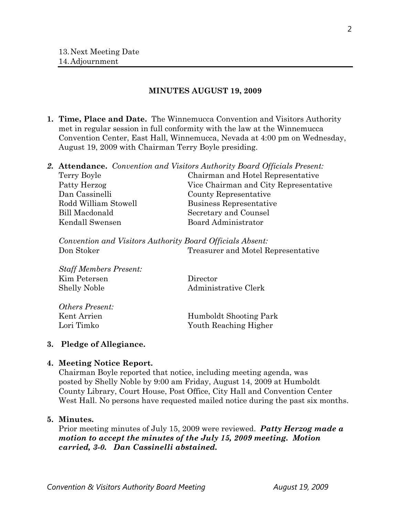#### **MINUTES AUGUST 19, 2009**

**1. Time, Place and Date.** The Winnemucca Convention and Visitors Authority met in regular session in full conformity with the law at the Winnemucca Convention Center, East Hall, Winnemucca, Nevada at 4:00 pm on Wednesday, August 19, 2009 with Chairman Terry Boyle presiding.

|                      | <b>2. Attendance.</b> Convention and Visitors Authority Board Officials Present: |
|----------------------|----------------------------------------------------------------------------------|
| Terry Boyle          | Chairman and Hotel Representative                                                |
| Patty Herzog         | Vice Chairman and City Representative                                            |
| Dan Cassinelli       | County Representative                                                            |
| Rodd William Stowell | Business Representative                                                          |
| Bill Macdonald       | Secretary and Counsel                                                            |
| Kendall Swensen      | Board Administrator                                                              |

*Convention and Visitors Authority Board Officials Absent:*  Don Stoker Treasurer and Motel Representative

| Statt Members Present: |                        |
|------------------------|------------------------|
| Kim Petersen           | Director               |
| <b>Shelly Noble</b>    | Administrative Clerk   |
| Others Present:        |                        |
| Kent Arrien            | Humboldt Shooting Park |
| Lori Timko             | Youth Reaching Higher  |

### **3. Pledge of Allegiance.**

 $S_L$ *COMPI* D

#### **4. Meeting Notice Report.**

Chairman Boyle reported that notice, including meeting agenda, was posted by Shelly Noble by 9:00 am Friday, August 14, 2009 at Humboldt County Library, Court House, Post Office, City Hall and Convention Center West Hall. No persons have requested mailed notice during the past six months.

## **5. Minutes.**

Prior meeting minutes of July 15, 2009 were reviewed. *Patty Herzog made a motion to accept the minutes of the July 15, 2009 meeting. Motion carried, 3-0. Dan Cassinelli abstained.*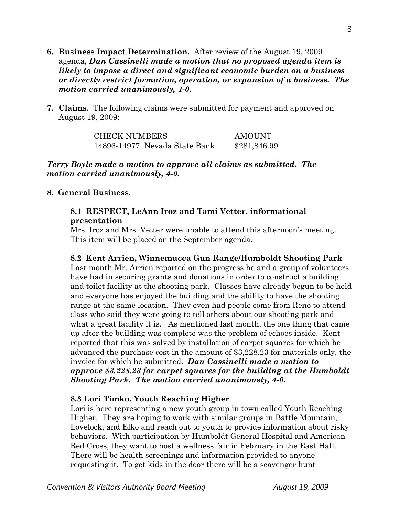- **6. Business Impact Determination.** After review of the August 19, 2009 agenda, *Dan Cassinelli made a motion that no proposed agenda item is likely to impose a direct and significant economic burden on a business or directly restrict formation, operation, or expansion of a business. The motion carried unanimously, 4-0.*
- **7. Claims.** The following claims were submitted for payment and approved on August 19, 2009:

CHECK NUMBERS AMOUNT 14896-14977 Nevada State Bank \$281,846.99

*Terry Boyle made a motion to approve all claims as submitted. The motion carried unanimously, 4-0.* 

### **8. General Business.**

### **8.1 RESPECT, LeAnn Iroz and Tami Vetter, informational presentation**

Mrs. Iroz and Mrs. Vetter were unable to attend this afternoon's meeting. This item will be placed on the September agenda.

**8.2 Kent Arrien, Winnemucca Gun Range/Humboldt Shooting Park**  Last month Mr. Arrien reported on the progress he and a group of volunteers have had in securing grants and donations in order to construct a building and toilet facility at the shooting park. Classes have already begun to be held and everyone has enjoyed the building and the ability to have the shooting range at the same location. They even had people come from Reno to attend class who said they were going to tell others about our shooting park and what a great facility it is. As mentioned last month, the one thing that came up after the building was complete was the problem of echoes inside. Kent reported that this was solved by installation of carpet squares for which he advanced the purchase cost in the amount of \$3,228.23 for materials only, the invoice for which he submitted. *Dan Cassinelli made a motion to approve \$3,228.23 for carpet squares for the building at the Humboldt Shooting Park. The motion carried unanimously, 4-0.* 

### **8.3 Lori Timko, Youth Reaching Higher**

Lori is here representing a new youth group in town called Youth Reaching Higher. They are hoping to work with similar groups in Battle Mountain, Lovelock, and Elko and reach out to youth to provide information about risky behaviors. With participation by Humboldt General Hospital and American Red Cross, they want to host a wellness fair in February in the East Hall. There will be health screenings and information provided to anyone requesting it. To get kids in the door there will be a scavenger hunt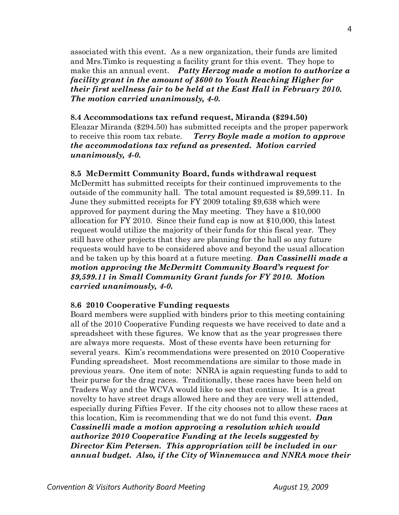associated with this event. As a new organization, their funds are limited and Mrs.Timko is requesting a facility grant for this event. They hope to make this an annual event. *Patty Herzog made a motion to authorize a facility grant in the amount of \$600 to Youth Reaching Higher for their first wellness fair to be held at the East Hall in February 2010. The motion carried unanimously, 4-0.* 

#### **8.4 Accommodations tax refund request, Miranda (\$294.50)**

Eleazar Miranda (\$294.50) has submitted receipts and the proper paperwork to receive this room tax rebate. *Terry Boyle made a motion to approve the accommodations tax refund as presented. Motion carried unanimously, 4-0.*

#### **8.5 McDermitt Community Board, funds withdrawal request**

McDermitt has submitted receipts for their continued improvements to the outside of the community hall. The total amount requested is \$9,599.11. In June they submitted receipts for FY 2009 totaling \$9,638 which were approved for payment during the May meeting. They have a \$10,000 allocation for FY 2010. Since their fund cap is now at \$10,000, this latest request would utilize the majority of their funds for this fiscal year. They still have other projects that they are planning for the hall so any future requests would have to be considered above and beyond the usual allocation and be taken up by this board at a future meeting. *Dan Cassinelli made a motion approving the McDermitt Community Board's request for \$9,599.11 in Small Community Grant funds for FY 2010. Motion carried unanimously, 4-0.* 

#### **8.6 2010 Cooperative Funding requests**

Board members were supplied with binders prior to this meeting containing all of the 2010 Cooperative Funding requests we have received to date and a spreadsheet with these figures. We know that as the year progresses there are always more requests. Most of these events have been returning for several years. Kim's recommendations were presented on 2010 Cooperative Funding spreadsheet. Most recommendations are similar to those made in previous years. One item of note: NNRA is again requesting funds to add to their purse for the drag races. Traditionally, these races have been held on Traders Way and the WCVA would like to see that continue. It is a great novelty to have street drags allowed here and they are very well attended, especially during Fifties Fever. If the city chooses not to allow these races at this location, Kim is recommending that we do not fund this event. *Dan Cassinelli made a motion approving a resolution which would authorize 2010 Cooperative Funding at the levels suggested by Director Kim Petersen. This appropriation will be included in our annual budget. Also, if the City of Winnemucca and NNRA move their*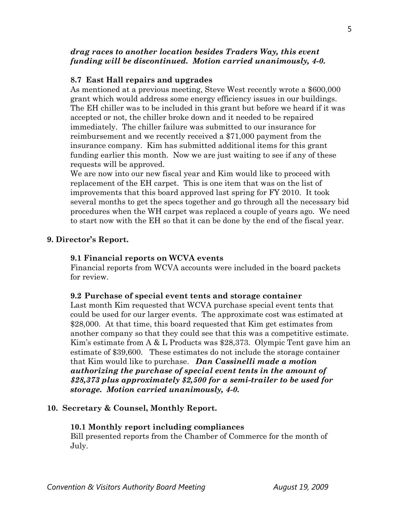### *drag races to another location besides Traders Way, this event funding will be discontinued. Motion carried unanimously, 4-0.*

### **8.7 East Hall repairs and upgrades**

As mentioned at a previous meeting, Steve West recently wrote a \$600,000 grant which would address some energy efficiency issues in our buildings. The EH chiller was to be included in this grant but before we heard if it was accepted or not, the chiller broke down and it needed to be repaired immediately. The chiller failure was submitted to our insurance for reimbursement and we recently received a \$71,000 payment from the insurance company. Kim has submitted additional items for this grant funding earlier this month. Now we are just waiting to see if any of these requests will be approved.

We are now into our new fiscal year and Kim would like to proceed with replacement of the EH carpet. This is one item that was on the list of improvements that this board approved last spring for FY 2010. It took several months to get the specs together and go through all the necessary bid procedures when the WH carpet was replaced a couple of years ago. We need to start now with the EH so that it can be done by the end of the fiscal year.

### **9. Director's Report.**

#### **9.1 Financial reports on WCVA events**

Financial reports from WCVA accounts were included in the board packets for review.

#### **9.2 Purchase of special event tents and storage container**

Last month Kim requested that WCVA purchase special event tents that could be used for our larger events. The approximate cost was estimated at \$28,000. At that time, this board requested that Kim get estimates from another company so that they could see that this was a competitive estimate. Kim's estimate from A & L Products was \$28,373. Olympic Tent gave him an estimate of \$39,600. These estimates do not include the storage container that Kim would like to purchase. *Dan Cassinelli made a motion authorizing the purchase of special event tents in the amount of \$28,373 plus approximately \$2,500 for a semi-trailer to be used for storage. Motion carried unanimously, 4-0.* 

#### **10. Secretary & Counsel, Monthly Report.**

#### **10.1 Monthly report including compliances**

Bill presented reports from the Chamber of Commerce for the month of July.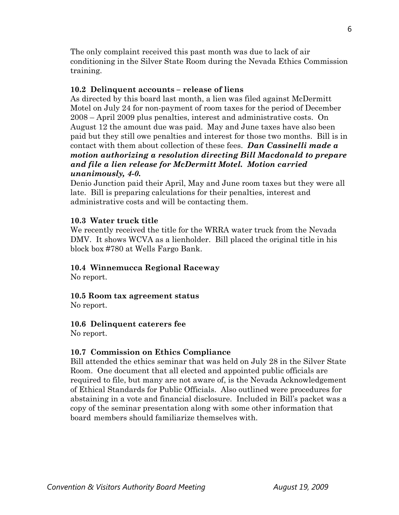The only complaint received this past month was due to lack of air conditioning in the Silver State Room during the Nevada Ethics Commission training.

### **10.2 Delinquent accounts – release of liens**

As directed by this board last month, a lien was filed against McDermitt Motel on July 24 for non-payment of room taxes for the period of December 2008 – April 2009 plus penalties, interest and administrative costs. On August 12 the amount due was paid. May and June taxes have also been paid but they still owe penalties and interest for those two months. Bill is in contact with them about collection of these fees. *Dan Cassinelli made a motion authorizing a resolution directing Bill Macdonald to prepare and file a lien release for McDermitt Motel. Motion carried unanimously, 4-0.* 

Denio Junction paid their April, May and June room taxes but they were all late. Bill is preparing calculations for their penalties, interest and administrative costs and will be contacting them.

## **10.3 Water truck title**

We recently received the title for the WRRA water truck from the Nevada DMV. It shows WCVA as a lienholder. Bill placed the original title in his block box #780 at Wells Fargo Bank.

# **10.4 Winnemucca Regional Raceway**

No report.

### **10.5 Room tax agreement status**

No report.

### **10.6 Delinquent caterers fee**

No report.

# **10.7 Commission on Ethics Compliance**

Bill attended the ethics seminar that was held on July 28 in the Silver State Room. One document that all elected and appointed public officials are required to file, but many are not aware of, is the Nevada Acknowledgement of Ethical Standards for Public Officials. Also outlined were procedures for abstaining in a vote and financial disclosure. Included in Bill's packet was a copy of the seminar presentation along with some other information that board members should familiarize themselves with.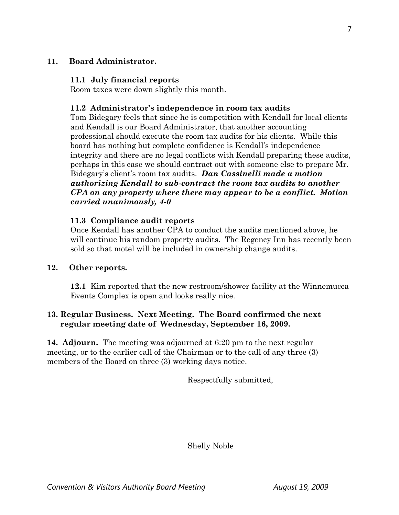## **11. Board Administrator.**

### **11.1 July financial reports**

Room taxes were down slightly this month.

## **11.2 Administrator's independence in room tax audits**

 Tom Bidegary feels that since he is competition with Kendall for local clients and Kendall is our Board Administrator, that another accounting professional should execute the room tax audits for his clients. While this board has nothing but complete confidence is Kendall's independence integrity and there are no legal conflicts with Kendall preparing these audits, perhaps in this case we should contract out with someone else to prepare Mr. Bidegary's client's room tax audits. *Dan Cassinelli made a motion authorizing Kendall to sub-contract the room tax audits to another CPA on any property where there may appear to be a conflict. Motion carried unanimously, 4-0*

## **11.3 Compliance audit reports**

Once Kendall has another CPA to conduct the audits mentioned above, he will continue his random property audits. The Regency Inn has recently been sold so that motel will be included in ownership change audits.

### **12. Other reports.**

 **12.1** Kim reported that the new restroom/shower facility at the Winnemucca Events Complex is open and looks really nice.

# **13. Regular Business. Next Meeting. The Board confirmed the next regular meeting date of Wednesday, September 16, 2009.**

**14. Adjourn.** The meeting was adjourned at 6:20 pm to the next regular meeting, or to the earlier call of the Chairman or to the call of any three (3) members of the Board on three (3) working days notice.

Respectfully submitted,

Shelly Noble